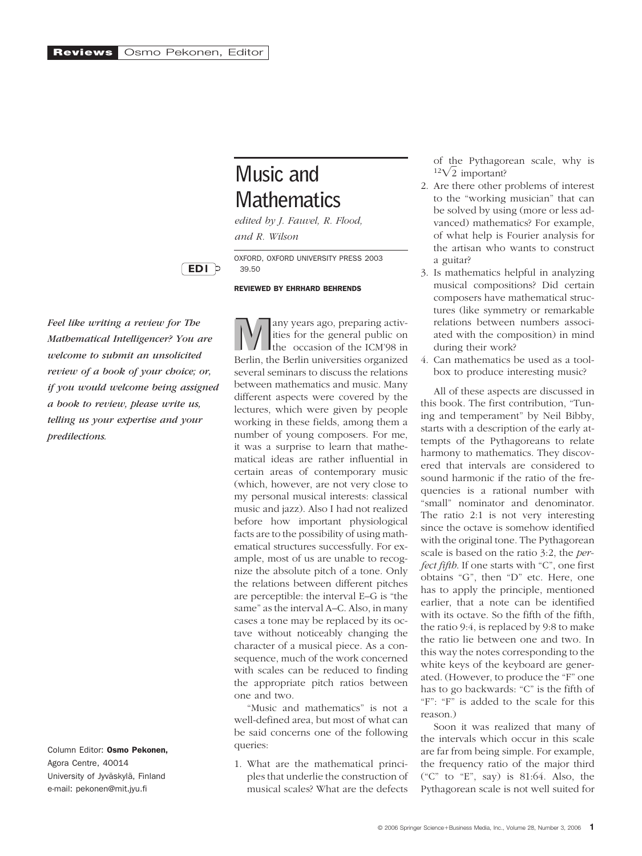**ED1** ➲

## **Music and Mathematics**

*edited by J. Fauvel, R. Flood, and R. Wilson*

OXFORD, OXFORD UNIVERSITY PRESS 2003 39.50

## REVIEWED BY EHRHARD BEHRENDS

*Feel like writing a review for The Mathematical Intelligencer? You are welcome to submit an unsolicited review of a book of your choice; or, if you would welcome being assigned a book to review, please write us, telling us your expertise and your predilections.* 

Column Editor: Osmo Pekonen, Agora Centre, 40014 University of Jyväskylä, Finland e-mail: pekonen@mit.jyu.fi

Many years ago, preparing activities for the general public on the ICM'98 in Berlin, the Berlin universities organized Many years ago, preparing activities for the general public on<br>the occasion of the ICM'98 in<br>Borlin the Borlin universities organized ities for the general public on the occasion of the ICM'98 in several seminars to discuss the relations between mathematics and music. Many different aspects were covered by the lectures, which were given by people working in these fields, among them a number of young composers. For me, it was a surprise to learn that mathematical ideas are rather influential in certain areas of contemporary music (which, however, are not very close to my personal musical interests: classical music and jazz). Also I had not realized before how important physiological facts are to the possibility of using mathematical structures successfully. For example, most of us are unable to recognize the absolute pitch of a tone. Only the relations between different pitches are perceptible: the interval E–G is "the same" as the interval A–C. Also, in many cases a tone may be replaced by its octave without noticeably changing the character of a musical piece. As a consequence, much of the work concerned with scales can be reduced to finding the appropriate pitch ratios between one and two.

"Music and mathematics" is not a well-defined area, but most of what can be said concerns one of the following queries:

1. What are the mathematical principles that underlie the construction of musical scales? What are the defects of the Pythagorean scale, why is  $12\sqrt{2}$  important?

- 2. Are there other problems of interest to the "working musician" that can be solved by using (more or less advanced) mathematics? For example, of what help is Fourier analysis for the artisan who wants to construct a guitar?
- 3. Is mathematics helpful in analyzing musical compositions? Did certain composers have mathematical structures (like symmetry or remarkable relations between numbers associated with the composition) in mind during their work?
- 4. Can mathematics be used as a toolbox to produce interesting music?

All of these aspects are discussed in this book. The first contribution, "Tuning and temperament" by Neil Bibby, starts with a description of the early attempts of the Pythagoreans to relate harmony to mathematics. They discovered that intervals are considered to sound harmonic if the ratio of the frequencies is a rational number with "small" nominator and denominator. The ratio 2:1 is not very interesting since the octave is somehow identified with the original tone. The Pythagorean scale is based on the ratio 3:2, the *perfect fifth*. If one starts with "C", one first obtains "G", then "D" etc. Here, one has to apply the principle, mentioned earlier, that a note can be identified with its octave. So the fifth of the fifth, the ratio 9:4, is replaced by 9:8 to make the ratio lie between one and two. In this way the notes corresponding to the white keys of the keyboard are generated. (However, to produce the "F" one has to go backwards: "C" is the fifth of "F": "F" is added to the scale for this reason.)

Soon it was realized that many of the intervals which occur in this scale are far from being simple. For example, the frequency ratio of the major third ("C" to "E", say) is 81:64. Also, the Pythagorean scale is not well suited for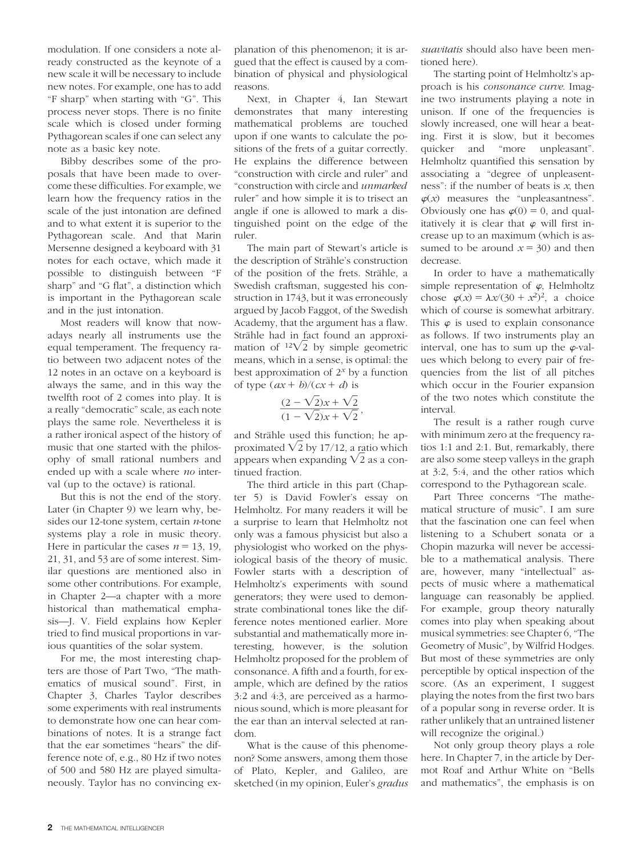modulation. If one considers a note already constructed as the keynote of a new scale it will be necessary to include new notes. For example, one has to add "F sharp" when starting with "G". This process never stops. There is no finite scale which is closed under forming Pythagorean scales if one can select any note as a basic key note.

Bibby describes some of the proposals that have been made to overcome these difficulties. For example, we learn how the frequency ratios in the scale of the just intonation are defined and to what extent it is superior to the Pythagorean scale. And that Marin Mersenne designed a keyboard with 31 notes for each octave, which made it possible to distinguish between "F sharp" and "G flat", a distinction which is important in the Pythagorean scale and in the just intonation.

Most readers will know that nowadays nearly all instruments use the equal temperament. The frequency ratio between two adjacent notes of the 12 notes in an octave on a keyboard is always the same, and in this way the twelfth root of 2 comes into play. It is a really "democratic" scale, as each note plays the same role. Nevertheless it is a rather ironical aspect of the history of music that one started with the philosophy of small rational numbers and ended up with a scale where *no* interval (up to the octave) is rational.

But this is not the end of the story. Later (in Chapter 9) we learn why, besides our 12-tone system, certain *n*-tone systems play a role in music theory. Here in particular the cases  $n = 13, 19$ , 21, 31, and 53 are of some interest. Similar questions are mentioned also in some other contributions. For example, in Chapter 2—a chapter with a more historical than mathematical emphasis—J. V. Field explains how Kepler tried to find musical proportions in various quantities of the solar system.

For me, the most interesting chapters are those of Part Two, "The mathematics of musical sound". First, in Chapter 3, Charles Taylor describes some experiments with real instruments to demonstrate how one can hear combinations of notes. It is a strange fact that the ear sometimes "hears" the difference note of, e.g., 80 Hz if two notes of 500 and 580 Hz are played simultaneously. Taylor has no convincing explanation of this phenomenon; it is argued that the effect is caused by a combination of physical and physiological reasons.

Next, in Chapter 4, Ian Stewart demonstrates that many interesting mathematical problems are touched upon if one wants to calculate the positions of the frets of a guitar correctly. He explains the difference between "construction with circle and ruler" and "construction with circle and *unmarked* ruler" and how simple it is to trisect an angle if one is allowed to mark a distinguished point on the edge of the ruler.

The main part of Stewart's article is the description of Strähle's construction of the position of the frets. Strähle, a Swedish craftsman, suggested his construction in 1743, but it was erroneously argued by Jacob Faggot, of the Swedish Academy, that the argument has a flaw. Strähle had in fact found an approximation of  $12\sqrt{2}$  by simple geometric means, which in a sense, is optimal: the best approximation of  $2^x$  by a function

of type 
$$
(ax + b)/(cx + d)
$$
 is  
\n
$$
\frac{(2 - \sqrt{2})x + \sqrt{2}}{(1 - \sqrt{2})x + \sqrt{2}},
$$

and Strähle used this function; he approximated  $\sqrt{2}$  by 17/12, a ratio which appears when expanding  $\sqrt{2}$  as a continued fraction.

The third article in this part (Chapter 5) is David Fowler's essay on Helmholtz. For many readers it will be a surprise to learn that Helmholtz not only was a famous physicist but also a physiologist who worked on the physiological basis of the theory of music. Fowler starts with a description of Helmholtz's experiments with sound generators; they were used to demonstrate combinational tones like the difference notes mentioned earlier. More substantial and mathematically more interesting, however, is the solution Helmholtz proposed for the problem of consonance. A fifth and a fourth, for example, which are defined by the ratios 3:2 and 4:3, are perceived as a harmonious sound, which is more pleasant for the ear than an interval selected at random.

What is the cause of this phenomenon? Some answers, among them those of Plato, Kepler, and Galileo, are sketched (in my opinion, Euler's *gradus*

*suavitatis* should also have been mentioned here).

The starting point of Helmholtz's approach is his *consonance curve*. Imagine two instruments playing a note in unison. If one of the frequencies is slowly increased, one will hear a beating. First it is slow, but it becomes quicker and "more unpleasant". Helmholtz quantified this sensation by associating a "degree of unpleasentness": if the number of beats is *x*, then  $\varphi(x)$  measures the "unpleasantness". Obviously one has  $\varphi(0) = 0$ , and qualitatively it is clear that  $\varphi$  will first increase up to an maximum (which is assumed to be around  $x = 30$  and then decrease.

In order to have a mathematically simple representation of  $\varphi$ , Helmholtz chose  $\varphi(x) = \lambda x/(30 + x^2)^2$ , a choice which of course is somewhat arbitrary. This  $\varphi$  is used to explain consonance as follows. If two instruments play an interval, one has to sum up the  $\varphi$ -values which belong to every pair of frequencies from the list of all pitches which occur in the Fourier expansion of the two notes which constitute the interval.

The result is a rather rough curve with minimum zero at the frequency ratios 1:1 and 2:1. But, remarkably, there are also some steep valleys in the graph at 3:2, 5:4, and the other ratios which correspond to the Pythagorean scale.

Part Three concerns "The mathematical structure of music". I am sure that the fascination one can feel when listening to a Schubert sonata or a Chopin mazurka will never be accessible to a mathematical analysis. There are, however, many "intellectual" aspects of music where a mathematical language can reasonably be applied. For example, group theory naturally comes into play when speaking about musical symmetries: see Chapter 6, "The Geometry of Music", by Wilfrid Hodges. But most of these symmetries are only perceptible by optical inspection of the score. (As an experiment, I suggest playing the notes from the first two bars of a popular song in reverse order. It is rather unlikely that an untrained listener will recognize the original.)

Not only group theory plays a role here. In Chapter 7, in the article by Dermot Roaf and Arthur White on "Bells and mathematics", the emphasis is on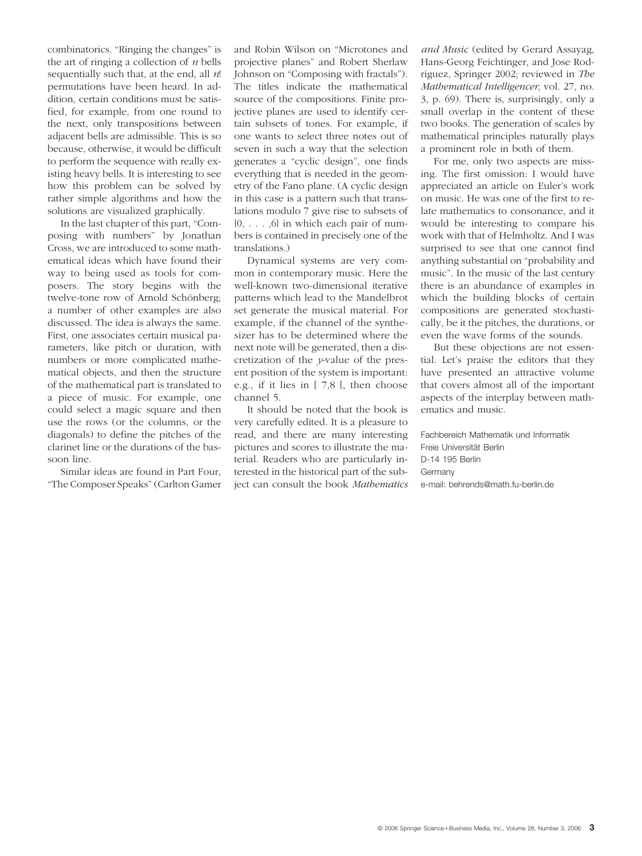combinatorics. "Ringing the changes" is the art of ringing a collection of *n* bells sequentially such that, at the end, all *n*! permutations have been heard. In addition, certain conditions must be satisfied, for example, from one round to the next, only transpositions between adjacent bells are admissible. This is so because, otherwise, it would be difficult to perform the sequence with really existing heavy bells. It is interesting to see how this problem can be solved by rather simple algorithms and how the solutions are visualized graphically.

In the last chapter of this part, "Composing with numbers" by Jonathan Cross, we are introduced to some mathematical ideas which have found their way to being used as tools for composers. The story begins with the twelve-tone row of Arnold Schönberg; a number of other examples are also discussed. The idea is always the same. First, one associates certain musical parameters, like pitch or duration, with numbers or more complicated mathematical objects, and then the structure of the mathematical part is translated to a piece of music. For example, one could select a magic square and then use the rows (or the columns, or the diagonals) to define the pitches of the clarinet line or the durations of the bassoon line.

Similar ideas are found in Part Four, "The Composer Speaks" (Carlton Gamer

and Robin Wilson on "Microtones and projective planes" and Robert Sherlaw Johnson on "Composing with fractals"). The titles indicate the mathematical source of the compositions. Finite projective planes are used to identify certain subsets of tones. For example, if one wants to select three notes out of seven in such a way that the selection generates a "cyclic design", one finds everything that is needed in the geometry of the Fano plane. (A cyclic design in this case is a pattern such that translations modulo 7 give rise to subsets of  $\{0, \ldots, 6\}$  in which each pair of numbers is contained in precisely one of the translations.)

Dynamical systems are very common in contemporary music. Here the well-known two-dimensional iterative patterns which lead to the Mandelbrot set generate the musical material. For example, if the channel of the synthesizer has to be determined where the next note will be generated, then a discretization of the *y*-value of the present position of the system is important: e.g., if it lies in [ 7,8 [, then choose channel 5.

It should be noted that the book is very carefully edited. It is a pleasure to read, and there are many interesting pictures and scores to illustrate the material. Readers who are particularly interested in the historical part of the subject can consult the book *Mathematics*

*and Music* (edited by Gerard Assayag, Hans-Georg Feichtinger, and Jose Rodriguez, Springer 2002; reviewed in *The Mathematical Intelligencer*, vol. 27, no. 3, p. 69). There is, surprisingly, only a small overlap in the content of these two books. The generation of scales by mathematical principles naturally plays a prominent role in both of them.

For me, only two aspects are missing. The first omission: I would have appreciated an article on Euler's work on music. He was one of the first to relate mathematics to consonance, and it would be interesting to compare his work with that of Helmholtz. And I was surprised to see that one cannot find anything substantial on "probability and music". In the music of the last century there is an abundance of examples in which the building blocks of certain compositions are generated stochastically, be it the pitches, the durations, or even the wave forms of the sounds.

But these objections are not essential. Let's praise the editors that they have presented an attractive volume that covers almost all of the important aspects of the interplay between mathematics and music.

Fachbereich Mathematik und Informatik Freie Universität Berlin D-14 195 Berlin Germany e-mail: behrends@math.fu-berlin.de